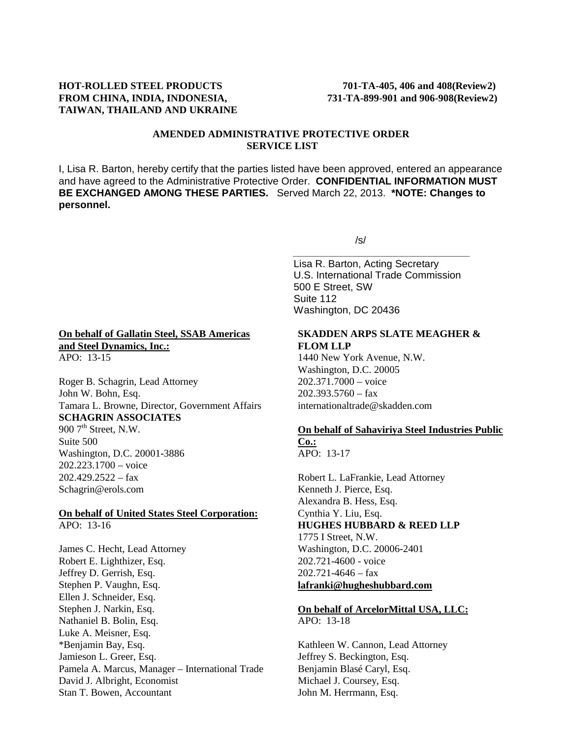# **FROM CHINA, INDIA, INDONESIA, 731-TA-899-901 and 906-908(Review2) TAIWAN, THAILAND AND UKRAINE**

# **AMENDED ADMINISTRATIVE PROTECTIVE ORDER SERVICE LIST**

I, Lisa R. Barton, hereby certify that the parties listed have been approved, entered an appearance and have agreed to the Administrative Protective Order. **CONFIDENTIAL INFORMATION MUST BE EXCHANGED AMONG THESE PARTIES.** Served March 22, 2013. **\*NOTE: Changes to personnel.**

**On behalf of Gallatin Steel, SSAB Americas and Steel Dynamics, Inc.:** APO: 13-15

Roger B. Schagrin, Lead Attorney John W. Bohn, Esq. Tamara L. Browne, Director, Government Affairs **SCHAGRIN ASSOCIATES**  $9007^{\text{th}}$  Street, N.W.

Suite 500 Washington, D.C. 20001-3886 202.223.1700 – voice  $202.429.2522 - fax$ Schagrin@erols.com

#### **On behalf of United States Steel Corporation:**  $APO: 13-16$

James C. Hecht, Lead Attorney Robert E. Lighthizer, Esq. Jeffrey D. Gerrish, Esq. Stephen P. Vaughn, Esq. Ellen J. Schneider, Esq. Stephen J. Narkin, Esq. Nathaniel B. Bolin, Esq. Luke A. Meisner, Esq. \*Benjamin Bay, Esq. Jamieson L. Greer, Esq. Pamela A. Marcus, Manager – International Trade David J. Albright, Economist Stan T. Bowen, Accountant

/s/

*\_\_\_\_\_\_\_\_\_\_\_\_\_\_\_\_\_\_\_\_\_\_\_\_\_\_\_\_\_\_\_* Lisa R. Barton, Acting Secretary U.S. International Trade Commission 500 E Street, SW Suite 112 Washington, DC 20436

# **SKADDEN ARPS SLATE MEAGHER & FLOM LLP**

1440 New York Avenue, N.W. Washington, D.C. 20005 202.371.7000 – voice 202.393.5760 – fax internationaltrade@skadden.com

# **On behalf of Sahaviriya Steel Industries Public**

**Co.:** APO: 13-17

Robert L. LaFrankie, Lead Attorney Kenneth J. Pierce, Esq. Alexandra B. Hess, Esq. Cynthia Y. Liu, Esq. **HUGHES HUBBARD & REED LLP** 1775 I Street, N.W. Washington, D.C. 20006-2401 202.721-4600 - voice  $202.721 - 4646 - \text{fax}$ **lafranki@hugheshubbard.com**

### **On behalf of ArcelorMittal USA, LLC:** APO: 13-18

Kathleen W. Cannon, Lead Attorney Jeffrey S. Beckington, Esq. Benjamin Blasé Caryl, Esq. Michael J. Coursey, Esq. John M. Herrmann, Esq.